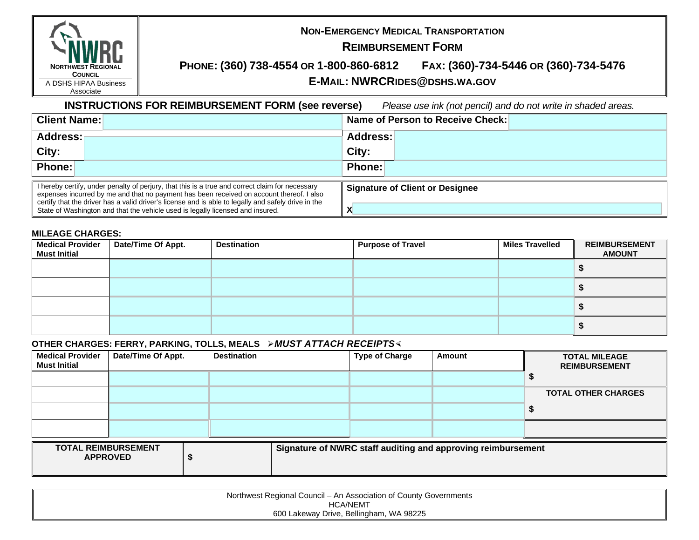| <b>NORTHWEST REGIONAL</b> |
|---------------------------|
| <b>COUNCIL</b>            |
| A DSHS HIPAA Business     |
| Associate                 |

## **NON-EMERGENCY MEDICAL TRANSPORTATION**

### **REIMBURSEMENT FORM**

### **PHONE: (360) 738-4554 OR 1-800-860-6812 FAX: (360)-734-5446 OR (360)-734-5476 E-MAIL: NWRCRIDES@DSHS.WA.GOV**

**INSTRUCTIONS FOR REIMBURSEMENT FORM (see reverse)** *Please use ink (not pencil) and do not write in shaded areas.*

| <b>Client Name:</b>                                                                                                                                                                                                                                                                                                                                                                 | Name of Person to Receive Check:       |  |  |  |
|-------------------------------------------------------------------------------------------------------------------------------------------------------------------------------------------------------------------------------------------------------------------------------------------------------------------------------------------------------------------------------------|----------------------------------------|--|--|--|
| <b>Address:</b>                                                                                                                                                                                                                                                                                                                                                                     | Address:                               |  |  |  |
| City:                                                                                                                                                                                                                                                                                                                                                                               | City:                                  |  |  |  |
| Phone:                                                                                                                                                                                                                                                                                                                                                                              | Phone:                                 |  |  |  |
| I hereby certify, under penalty of perjury, that this is a true and correct claim for necessary<br>expenses incurred by me and that no payment has been received on account thereof. I also<br>ertify that the driver has a valid driver's license and is able to legally and safely drive in the<br>State of Washington and that the vehicle used is legally licensed and insured. | <b>Signature of Client or Designee</b> |  |  |  |

#### **MILEAGE CHARGES:**

| <b>Medical Provider</b><br><b>Must Initial</b> | Date/Time Of Appt. | <b>Destination</b> | <b>Purpose of Travel</b> | <b>Miles Travelled</b> | <b>REIMBURSEMENT</b><br><b>AMOUNT</b> |
|------------------------------------------------|--------------------|--------------------|--------------------------|------------------------|---------------------------------------|
|                                                |                    |                    |                          |                        |                                       |
|                                                |                    |                    |                          |                        |                                       |
|                                                |                    |                    |                          |                        |                                       |
|                                                |                    |                    |                          |                        |                                       |

### **OTHER CHARGES: FERRY, PARKING, TOLLS, MEALS > MUST ATTACH RECEIPTS<**

| <b>Medical Provider</b><br><b>Must Initial</b> | Date/Time Of Appt. | <b>Destination</b> | <b>Type of Charge</b> | Amount                                                       | <b>TOTAL MILEAGE</b><br><b>REIMBURSEMENT</b> |
|------------------------------------------------|--------------------|--------------------|-----------------------|--------------------------------------------------------------|----------------------------------------------|
|                                                |                    |                    |                       |                                                              |                                              |
|                                                |                    |                    |                       |                                                              | <b>TOTAL OTHER CHARGES</b>                   |
|                                                |                    |                    |                       |                                                              |                                              |
|                                                |                    |                    |                       |                                                              |                                              |
| <b>TOTAL REIMBURSEMENT</b><br><b>APPROVED</b>  |                    |                    |                       | Signature of NWRC staff auditing and approving reimbursement |                                              |

| Northwest Regional Council – An Association of County Governments |  |
|-------------------------------------------------------------------|--|
| HCA/NEMT                                                          |  |
| 600 Lakeway Drive, Bellingham, WA 98225                           |  |
|                                                                   |  |